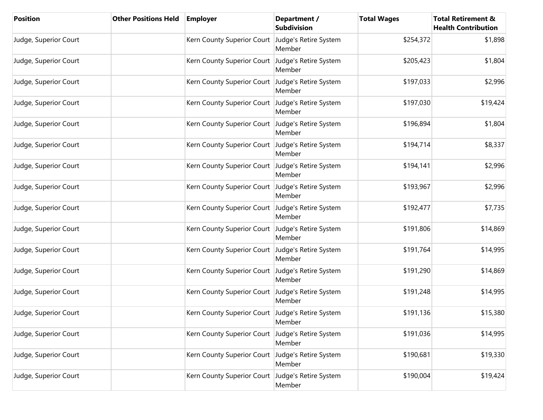| <b>Position</b>       | <b>Other Positions Held</b> | <b>Employer</b>                                    | Department /<br><b>Subdivision</b> | <b>Total Wages</b> | <b>Total Retirement &amp;</b><br><b>Health Contribution</b> |
|-----------------------|-----------------------------|----------------------------------------------------|------------------------------------|--------------------|-------------------------------------------------------------|
| Judge, Superior Court |                             | Kern County Superior Court   Judge's Retire System | Member                             | \$254,372          | \$1,898                                                     |
| Judge, Superior Court |                             | Kern County Superior Court Judge's Retire System   | Member                             | \$205,423          | \$1,804                                                     |
| Judge, Superior Court |                             | Kern County Superior Court Judge's Retire System   | Member                             | \$197,033          | \$2,996                                                     |
| Judge, Superior Court |                             | Kern County Superior Court Judge's Retire System   | Member                             | \$197,030          | \$19,424                                                    |
| Judge, Superior Court |                             | Kern County Superior Court                         | Judge's Retire System<br>Member    | \$196,894          | \$1,804                                                     |
| Judge, Superior Court |                             | Kern County Superior Court                         | Judge's Retire System<br>Member    | \$194,714          | \$8,337                                                     |
| Judge, Superior Court |                             | Kern County Superior Court                         | Judge's Retire System<br>Member    | \$194,141          | \$2,996                                                     |
| Judge, Superior Court |                             | Kern County Superior Court Judge's Retire System   | Member                             | \$193,967          | \$2,996                                                     |
| Judge, Superior Court |                             | Kern County Superior Court Judge's Retire System   | Member                             | \$192,477          | \$7,735                                                     |
| Judge, Superior Court |                             | Kern County Superior Court Judge's Retire System   | Member                             | \$191,806          | \$14,869                                                    |
| Judge, Superior Court |                             | Kern County Superior Court Judge's Retire System   | Member                             | \$191,764          | \$14,995                                                    |
| Judge, Superior Court |                             | Kern County Superior Court Judge's Retire System   | Member                             | \$191,290          | \$14,869                                                    |
| Judge, Superior Court |                             | Kern County Superior Court Judge's Retire System   | Member                             | \$191,248          | \$14,995                                                    |
| Judge, Superior Court |                             | Kern County Superior Court Judge's Retire System   | Member                             | \$191,136          | \$15,380                                                    |
| Judge, Superior Court |                             | Kern County Superior Court                         | Judge's Retire System<br>Member    | \$191,036          | \$14,995                                                    |
| Judge, Superior Court |                             | Kern County Superior Court                         | Judge's Retire System<br>Member    | \$190,681          | \$19,330                                                    |
| Judge, Superior Court |                             | Kern County Superior Court                         | Judge's Retire System<br>Member    | \$190,004          | \$19,424                                                    |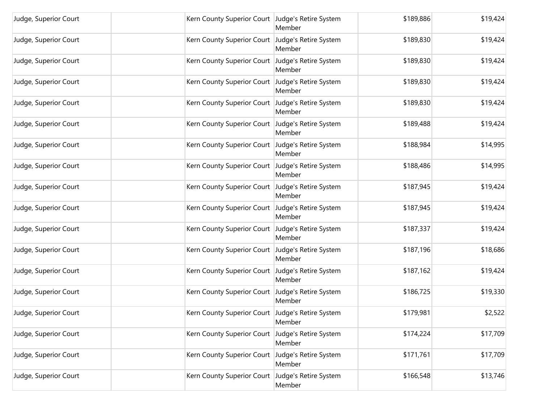| Judge, Superior Court | Kern County Superior Court   Judge's Retire System | Member                          | \$189,886 | \$19,424 |
|-----------------------|----------------------------------------------------|---------------------------------|-----------|----------|
| Judge, Superior Court | Kern County Superior Court Judge's Retire System   | Member                          | \$189,830 | \$19,424 |
| Judge, Superior Court | Kern County Superior Court   Judge's Retire System | Member                          | \$189,830 | \$19,424 |
| Judge, Superior Court | Kern County Superior Court Judge's Retire System   | Member                          | \$189,830 | \$19,424 |
| Judge, Superior Court | Kern County Superior Court Judge's Retire System   | Member                          | \$189,830 | \$19,424 |
| Judge, Superior Court | Kern County Superior Court Judge's Retire System   | Member                          | \$189,488 | \$19,424 |
| Judge, Superior Court | Kern County Superior Court   Judge's Retire System | Member                          | \$188,984 | \$14,995 |
| Judge, Superior Court | Kern County Superior Court Judge's Retire System   | Member                          | \$188,486 | \$14,995 |
| Judge, Superior Court | Kern County Superior Court Judge's Retire System   | Member                          | \$187,945 | \$19,424 |
| Judge, Superior Court | Kern County Superior Court Judge's Retire System   | Member                          | \$187,945 | \$19,424 |
| Judge, Superior Court | Kern County Superior Court Judge's Retire System   | Member                          | \$187,337 | \$19,424 |
| Judge, Superior Court | Kern County Superior Court Judge's Retire System   | Member                          | \$187,196 | \$18,686 |
| Judge, Superior Court | Kern County Superior Court Judge's Retire System   | Member                          | \$187,162 | \$19,424 |
| Judge, Superior Court | Kern County Superior Court Judge's Retire System   | Member                          | \$186,725 | \$19,330 |
| Judge, Superior Court | Kern County Superior Court Judge's Retire System   | Member                          | \$179,981 | \$2,522  |
| Judge, Superior Court | Kern County Superior Court                         | Judge's Retire System<br>Member | \$174,224 | \$17,709 |
| Judge, Superior Court | Kern County Superior Court                         | Judge's Retire System<br>Member | \$171,761 | \$17,709 |
| Judge, Superior Court | Kern County Superior Court                         | Judge's Retire System<br>Member | \$166,548 | \$13,746 |